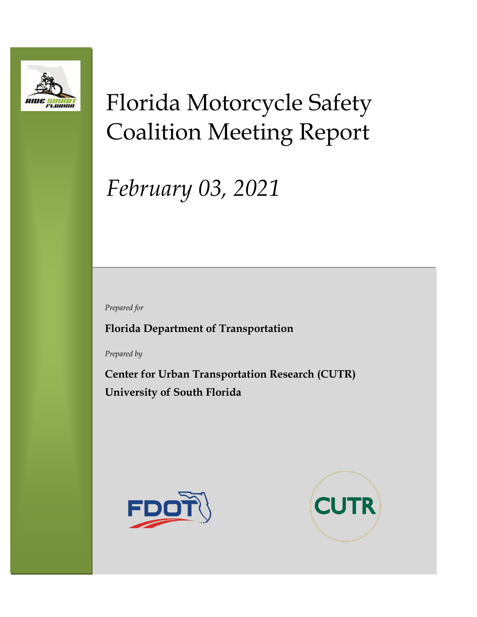

# Florida Motorcycle Safety Coalition Meeting Report

# *February 03, 2021*

*Prepared for*

**Florida Department of Transportation**

*Prepared by*

**Center for Urban Transportation Research (CUTR) University of South Florida**



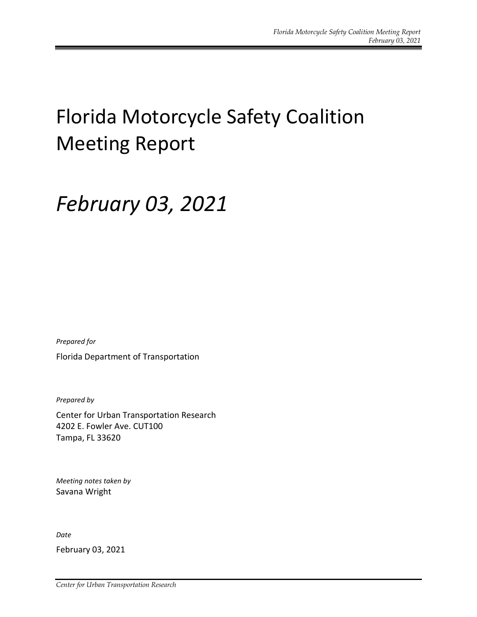## Florida Motorcycle Safety Coalition Meeting Report

## *February 03, 2021*

*Prepared for*

Florida Department of Transportation

*Prepared by*

Center for Urban Transportation Research 4202 E. Fowler Ave. CUT100 Tampa, FL 33620

*Meeting notes taken by* Savana Wright

*Date*

February 03, 2021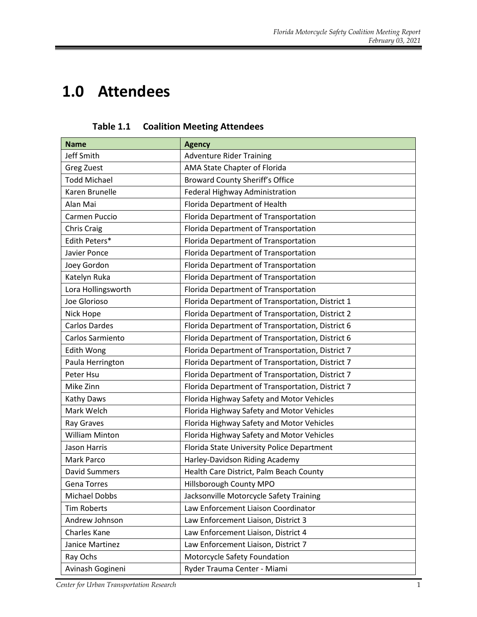### **1.0 Attendees**

| <b>Name</b>           | <b>Agency</b>                                    |  |
|-----------------------|--------------------------------------------------|--|
| Jeff Smith            | <b>Adventure Rider Training</b>                  |  |
| Greg Zuest            | AMA State Chapter of Florida                     |  |
| <b>Todd Michael</b>   | <b>Broward County Sheriff's Office</b>           |  |
| Karen Brunelle        | Federal Highway Administration                   |  |
| Alan Mai              | Florida Department of Health                     |  |
| Carmen Puccio         | Florida Department of Transportation             |  |
| Chris Craig           | Florida Department of Transportation             |  |
| Edith Peters*         | Florida Department of Transportation             |  |
| Javier Ponce          | Florida Department of Transportation             |  |
| Joey Gordon           | Florida Department of Transportation             |  |
| Katelyn Ruka          | Florida Department of Transportation             |  |
| Lora Hollingsworth    | Florida Department of Transportation             |  |
| Joe Glorioso          | Florida Department of Transportation, District 1 |  |
| Nick Hope             | Florida Department of Transportation, District 2 |  |
| <b>Carlos Dardes</b>  | Florida Department of Transportation, District 6 |  |
| Carlos Sarmiento      | Florida Department of Transportation, District 6 |  |
| <b>Edith Wong</b>     | Florida Department of Transportation, District 7 |  |
| Paula Herrington      | Florida Department of Transportation, District 7 |  |
| Peter Hsu             | Florida Department of Transportation, District 7 |  |
| Mike Zinn             | Florida Department of Transportation, District 7 |  |
| Kathy Daws            | Florida Highway Safety and Motor Vehicles        |  |
| Mark Welch            | Florida Highway Safety and Motor Vehicles        |  |
| Ray Graves            | Florida Highway Safety and Motor Vehicles        |  |
| <b>William Minton</b> | Florida Highway Safety and Motor Vehicles        |  |
| <b>Jason Harris</b>   | Florida State University Police Department       |  |
| Mark Parco            | Harley-Davidson Riding Academy                   |  |
| <b>David Summers</b>  | Health Care District, Palm Beach County          |  |
| <b>Gena Torres</b>    | Hillsborough County MPO                          |  |
| Michael Dobbs         | Jacksonville Motorcycle Safety Training          |  |
| <b>Tim Roberts</b>    | Law Enforcement Liaison Coordinator              |  |
| Andrew Johnson        | Law Enforcement Liaison, District 3              |  |
| Charles Kane          | Law Enforcement Liaison, District 4              |  |
| Janice Martinez       | Law Enforcement Liaison, District 7              |  |
| Ray Ochs              | Motorcycle Safety Foundation                     |  |
| Avinash Gogineni      | Ryder Trauma Center - Miami                      |  |

**Table 1.1 Coalition Meeting Attendees**

*Center for Urban Transportation Research* 1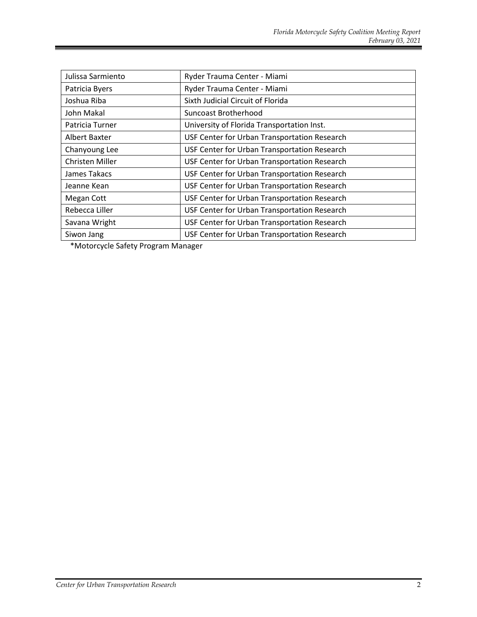| Julissa Sarmiento | Ryder Trauma Center - Miami                  |  |
|-------------------|----------------------------------------------|--|
| Patricia Byers    | Ryder Trauma Center - Miami                  |  |
| Joshua Riba       | Sixth Judicial Circuit of Florida            |  |
| John Makal        | Suncoast Brotherhood                         |  |
| Patricia Turner   | University of Florida Transportation Inst.   |  |
| Albert Baxter     | USF Center for Urban Transportation Research |  |
| Chanyoung Lee     | USF Center for Urban Transportation Research |  |
| Christen Miller   | USF Center for Urban Transportation Research |  |
| James Takacs      | USF Center for Urban Transportation Research |  |
| Jeanne Kean       | USF Center for Urban Transportation Research |  |
| Megan Cott        | USF Center for Urban Transportation Research |  |
| Rebecca Liller    | USF Center for Urban Transportation Research |  |
| Savana Wright     | USF Center for Urban Transportation Research |  |
| Siwon Jang        | USF Center for Urban Transportation Research |  |

\*Motorcycle Safety Program Manager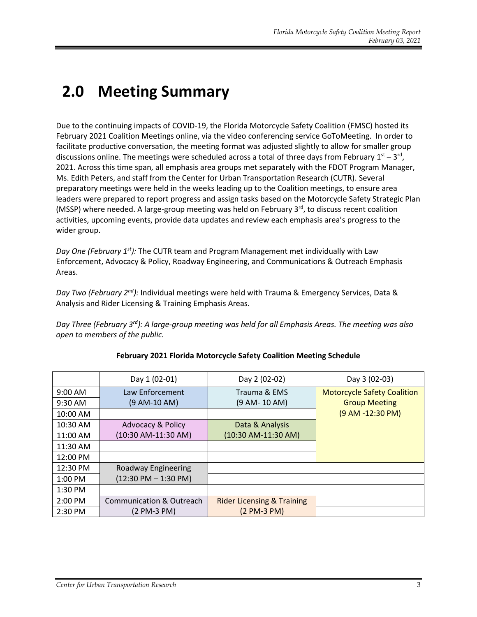### **2.0 Meeting Summary**

Due to the continuing impacts of COVID-19, the Florida Motorcycle Safety Coalition (FMSC) hosted its February 2021 Coalition Meetings online, via the video conferencing service GoToMeeting. In order to facilitate productive conversation, the meeting format was adjusted slightly to allow for smaller group discussions online. The meetings were scheduled across a total of three days from February  $1<sup>st</sup> - 3<sup>rd</sup>$ , 2021. Across this time span, all emphasis area groups met separately with the FDOT Program Manager, Ms. Edith Peters, and staff from the Center for Urban Transportation Research (CUTR). Several preparatory meetings were held in the weeks leading up to the Coalition meetings, to ensure area leaders were prepared to report progress and assign tasks based on the Motorcycle Safety Strategic Plan (MSSP) where needed. A large-group meeting was held on February  $3<sup>rd</sup>$ , to discuss recent coalition activities, upcoming events, provide data updates and review each emphasis area's progress to the wider group.

*Day One (February 1st):* The CUTR team and Program Management met individually with Law Enforcement, Advocacy & Policy, Roadway Engineering, and Communications & Outreach Emphasis Areas.

*Day Two (February 2nd):* Individual meetings were held with Trauma & Emergency Services, Data & Analysis and Rider Licensing & Training Emphasis Areas.

*Day Three (February 3rd): A large-group meeting was held for all Emphasis Areas. The meeting was also open to members of the public.* 

|           | Day 1 (02-01)                          | Day 2 (02-02)                         | Day 3 (02-03)                      |
|-----------|----------------------------------------|---------------------------------------|------------------------------------|
| $9:00$ AM | Law Enforcement                        | Trauma & EMS                          | <b>Motorcycle Safety Coalition</b> |
| 9:30 AM   | (9 AM-10 AM)                           | (9 AM- 10 AM)                         | <b>Group Meeting</b>               |
| 10:00 AM  |                                        |                                       | (9 AM -12:30 PM)                   |
| 10:30 AM  | <b>Advocacy &amp; Policy</b>           | Data & Analysis                       |                                    |
| 11:00 AM  | (10:30 AM-11:30 AM)                    | (10:30 AM-11:30 AM)                   |                                    |
| 11:30 AM  |                                        |                                       |                                    |
| 12:00 PM  |                                        |                                       |                                    |
| 12:30 PM  | Roadway Engineering                    |                                       |                                    |
| $1:00$ PM | $(12:30 \text{ PM} - 1:30 \text{ PM})$ |                                       |                                    |
| 1:30 PM   |                                        |                                       |                                    |
| $2:00$ PM | Communication & Outreach               | <b>Rider Licensing &amp; Training</b> |                                    |
| 2:30 PM   | $(2 PM-3 PM)$                          | (2 PM-3 PM)                           |                                    |

#### **February 2021 Florida Motorcycle Safety Coalition Meeting Schedule**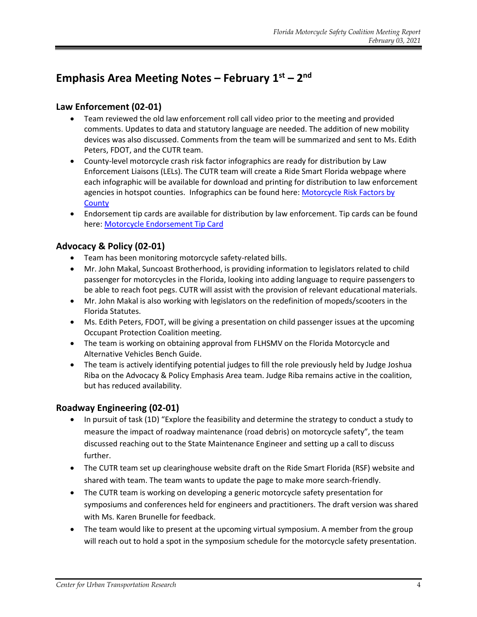#### **Emphasis Area Meeting Notes – February 1st – 2 nd**

#### **Law Enforcement (02-01)**

- Team reviewed the old law enforcement roll call video prior to the meeting and provided comments. Updates to data and statutory language are needed. The addition of new mobility devices was also discussed. Comments from the team will be summarized and sent to Ms. Edith Peters, FDOT, and the CUTR team.
- County-level motorcycle crash risk factor infographics are ready for distribution by Law Enforcement Liaisons (LELs). The CUTR team will create a Ride Smart Florida webpage where each infographic will be available for download and printing for distribution to law enforcement agencies in hotspot counties. Infographics can be found here: Motorcycle Risk Factors by **[County](https://ridesmartflorida.com/county-crash-facts)**
- Endorsement tip cards are available for distribution by law enforcement. Tip cards can be found here: [Motorcycle Endorsement Tip Card](https://ridesmartflorida.com/archives/sdm_downloads/mc-endorsement-card)

#### **Advocacy & Policy (02-01)**

- Team has been monitoring motorcycle safety-related bills.
- Mr. John Makal, Suncoast Brotherhood, is providing information to legislators related to child passenger for motorcycles in the Florida, looking into adding language to require passengers to be able to reach foot pegs. CUTR will assist with the provision of relevant educational materials.
- Mr. John Makal is also working with legislators on the redefinition of mopeds/scooters in the Florida Statutes.
- Ms. Edith Peters, FDOT, will be giving a presentation on child passenger issues at the upcoming Occupant Protection Coalition meeting.
- The team is working on obtaining approval from FLHSMV on the Florida Motorcycle and Alternative Vehicles Bench Guide.
- The team is actively identifying potential judges to fill the role previously held by Judge Joshua Riba on the Advocacy & Policy Emphasis Area team. Judge Riba remains active in the coalition, but has reduced availability.

#### **Roadway Engineering (02-01)**

- In pursuit of task (1D) "Explore the feasibility and determine the strategy to conduct a study to measure the impact of roadway maintenance (road debris) on motorcycle safety", the team discussed reaching out to the State Maintenance Engineer and setting up a call to discuss further.
- The CUTR team set up clearinghouse website draft on the Ride Smart Florida (RSF) website and shared with team. The team wants to update the page to make more search-friendly.
- The CUTR team is working on developing a generic motorcycle safety presentation for symposiums and conferences held for engineers and practitioners. The draft version was shared with Ms. Karen Brunelle for feedback.
- The team would like to present at the upcoming virtual symposium. A member from the group will reach out to hold a spot in the symposium schedule for the motorcycle safety presentation.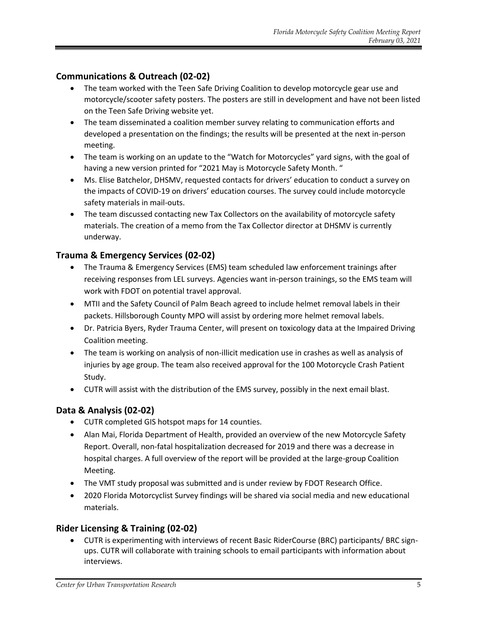#### **Communications & Outreach (02-02)**

- The team worked with the Teen Safe Driving Coalition to develop motorcycle gear use and motorcycle/scooter safety posters. The posters are still in development and have not been listed on the Teen Safe Driving website yet.
- The team disseminated a coalition member survey relating to communication efforts and developed a presentation on the findings; the results will be presented at the next in-person meeting.
- The team is working on an update to the "Watch for Motorcycles" yard signs, with the goal of having a new version printed for "2021 May is Motorcycle Safety Month. "
- Ms. Elise Batchelor, DHSMV, requested contacts for drivers' education to conduct a survey on the impacts of COVID-19 on drivers' education courses. The survey could include motorcycle safety materials in mail-outs.
- The team discussed contacting new Tax Collectors on the availability of motorcycle safety materials. The creation of a memo from the Tax Collector director at DHSMV is currently underway.

#### **Trauma & Emergency Services (02-02)**

- The Trauma & Emergency Services (EMS) team scheduled law enforcement trainings after receiving responses from LEL surveys. Agencies want in-person trainings, so the EMS team will work with FDOT on potential travel approval.
- MTII and the Safety Council of Palm Beach agreed to include helmet removal labels in their packets. Hillsborough County MPO will assist by ordering more helmet removal labels.
- Dr. Patricia Byers, Ryder Trauma Center, will present on toxicology data at the Impaired Driving Coalition meeting.
- The team is working on analysis of non-illicit medication use in crashes as well as analysis of injuries by age group. The team also received approval for the 100 Motorcycle Crash Patient Study.
- CUTR will assist with the distribution of the EMS survey, possibly in the next email blast.

#### **Data & Analysis (02-02)**

- CUTR completed GIS hotspot maps for 14 counties.
- Alan Mai, Florida Department of Health, provided an overview of the new Motorcycle Safety Report. Overall, non-fatal hospitalization decreased for 2019 and there was a decrease in hospital charges. A full overview of the report will be provided at the large-group Coalition Meeting.
- The VMT study proposal was submitted and is under review by FDOT Research Office.
- 2020 Florida Motorcyclist Survey findings will be shared via social media and new educational materials.

#### **Rider Licensing & Training (02-02)**

• CUTR is experimenting with interviews of recent Basic RiderCourse (BRC) participants/ BRC signups. CUTR will collaborate with training schools to email participants with information about interviews.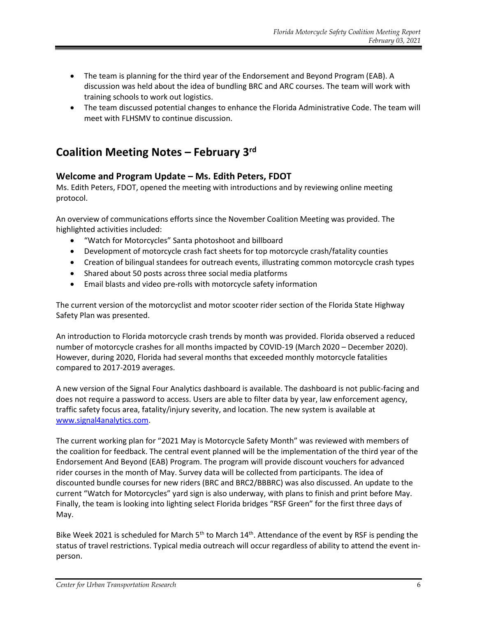- The team is planning for the third year of the Endorsement and Beyond Program (EAB). A discussion was held about the idea of bundling BRC and ARC courses. The team will work with training schools to work out logistics.
- The team discussed potential changes to enhance the Florida Administrative Code. The team will meet with FLHSMV to continue discussion.

#### **Coalition Meeting Notes – February 3rd**

#### **Welcome and Program Update – Ms. Edith Peters, FDOT**

Ms. Edith Peters, FDOT, opened the meeting with introductions and by reviewing online meeting protocol.

An overview of communications efforts since the November Coalition Meeting was provided. The highlighted activities included:

- "Watch for Motorcycles" Santa photoshoot and billboard
- Development of motorcycle crash fact sheets for top motorcycle crash/fatality counties
- Creation of bilingual standees for outreach events, illustrating common motorcycle crash types
- Shared about 50 posts across three social media platforms
- Email blasts and video pre-rolls with motorcycle safety information

The current version of the motorcyclist and motor scooter rider section of the Florida State Highway Safety Plan was presented.

An introduction to Florida motorcycle crash trends by month was provided. Florida observed a reduced number of motorcycle crashes for all months impacted by COVID-19 (March 2020 – December 2020). However, during 2020, Florida had several months that exceeded monthly motorcycle fatalities compared to 2017-2019 averages.

A new version of the Signal Four Analytics dashboard is available. The dashboard is not public-facing and does not require a password to access. Users are able to filter data by year, law enforcement agency, traffic safety focus area, fatality/injury severity, and location. The new system is available at [www.signal4analytics.com.](http://www.signal4analytics.com/)

The current working plan for "2021 May is Motorcycle Safety Month" was reviewed with members of the coalition for feedback. The central event planned will be the implementation of the third year of the Endorsement And Beyond (EAB) Program. The program will provide discount vouchers for advanced rider courses in the month of May. Survey data will be collected from participants. The idea of discounted bundle courses for new riders (BRC and BRC2/BBBRC) was also discussed. An update to the current "Watch for Motorcycles" yard sign is also underway, with plans to finish and print before May. Finally, the team is looking into lighting select Florida bridges "RSF Green" for the first three days of May.

Bike Week 2021 is scheduled for March 5<sup>th</sup> to March  $14<sup>th</sup>$ . Attendance of the event by RSF is pending the status of travel restrictions. Typical media outreach will occur regardless of ability to attend the event inperson.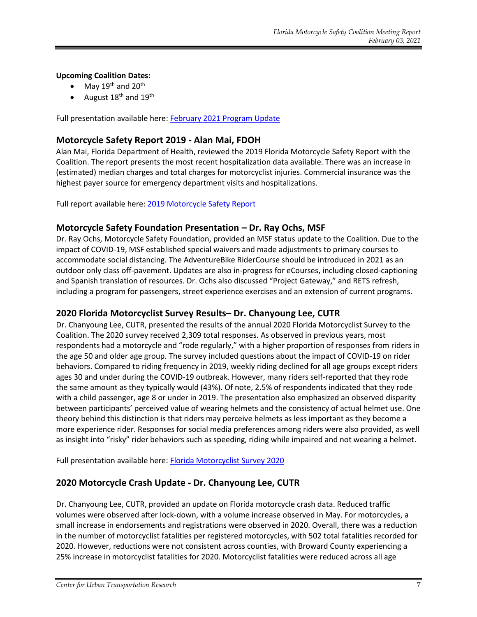#### **Upcoming Coalition Dates:**

- May 19<sup>th</sup> and 20<sup>th</sup>
- August 18<sup>th</sup> and 19<sup>th</sup>

Full presentation available here: [February 2021 Program Update](https://ridesmartflorida.com/archives/sdm_downloads/peters-rsf-feb-2021-coalition-presentation)

#### **Motorcycle Safety Report 2019 - Alan Mai, FDOH**

Alan Mai, Florida Department of Health, reviewed the 2019 Florida Motorcycle Safety Report with the Coalition. The report presents the most recent hospitalization data available. There was an increase in (estimated) median charges and total charges for motorcyclist injuries. Commercial insurance was the highest payer source for emergency department visits and hospitalizations.

Full report available here: [2019 Motorcycle Safety Report](https://ridesmartflorida.com/archives/sdm_downloads/motorcycle-safety-report-2019)

#### **Motorcycle Safety Foundation Presentation – Dr. Ray Ochs, MSF**

Dr. Ray Ochs, Motorcycle Safety Foundation, provided an MSF status update to the Coalition. Due to the impact of COVID-19, MSF established special waivers and made adjustments to primary courses to accommodate social distancing. The AdventureBike RiderCourse should be introduced in 2021 as an outdoor only class off-pavement. Updates are also in-progress for eCourses, including closed-captioning and Spanish translation of resources. Dr. Ochs also discussed "Project Gateway," and RETS refresh, including a program for passengers, street experience exercises and an extension of current programs.

#### **2020 Florida Motorcyclist Survey Results– Dr. Chanyoung Lee, CUTR**

Dr. Chanyoung Lee, CUTR, presented the results of the annual 2020 Florida Motorcyclist Survey to the Coalition. The 2020 survey received 2,309 total responses. As observed in previous years, most respondents had a motorcycle and "rode regularly," with a higher proportion of responses from riders in the age 50 and older age group. The survey included questions about the impact of COVID-19 on rider behaviors. Compared to riding frequency in 2019, weekly riding declined for all age groups except riders ages 30 and under during the COVID-19 outbreak. However, many riders self-reported that they rode the same amount as they typically would (43%). Of note, 2.5% of respondents indicated that they rode with a child passenger, age 8 or under in 2019. The presentation also emphasized an observed disparity between participants' perceived value of wearing helmets and the consistency of actual helmet use. One theory behind this distinction is that riders may perceive helmets as less important as they become a more experience rider. Responses for social media preferences among riders were also provided, as well as insight into "risky" rider behaviors such as speeding, riding while impaired and not wearing a helmet.

Full presentation available here: [Florida Motorcyclist Survey 2020](https://ridesmartflorida.com/archives/sdm_downloads/2020-florida-motorcyclist-survey)

#### **2020 Motorcycle Crash Update - Dr. Chanyoung Lee, CUTR**

Dr. Chanyoung Lee, CUTR, provided an update on Florida motorcycle crash data. Reduced traffic volumes were observed after lock-down, with a volume increase observed in May. For motorcycles, a small increase in endorsements and registrations were observed in 2020. Overall, there was a reduction in the number of motorcyclist fatalities per registered motorcycles, with 502 total fatalities recorded for 2020. However, reductions were not consistent across counties, with Broward County experiencing a 25% increase in motorcyclist fatalities for 2020. Motorcyclist fatalities were reduced across all age